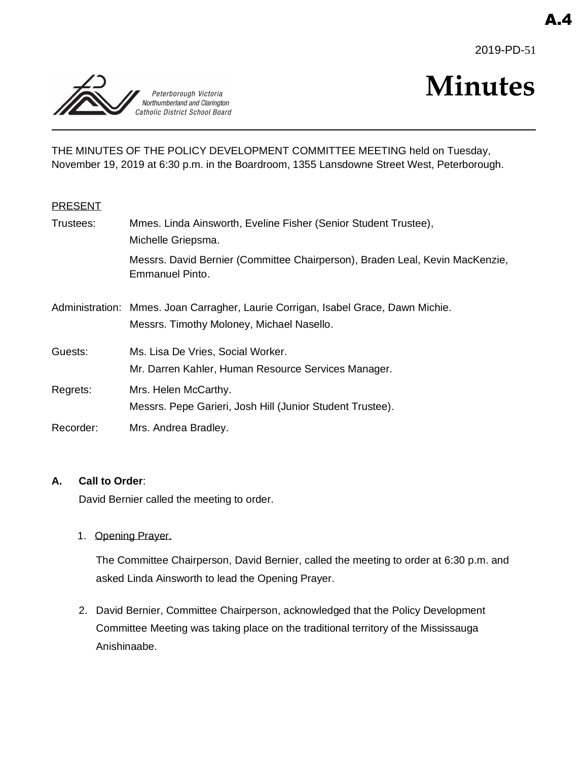2019-PD-51



# **Minutes**

THE MINUTES OF THE POLICY DEVELOPMENT COMMITTEE MEETING held on Tuesday, November 19, 2019 at 6:30 p.m. in the Boardroom, 1355 Lansdowne Street West, Peterborough.

## **PRESENT**

| Trustees: | Mmes. Linda Ainsworth, Eveline Fisher (Senior Student Trustee),<br>Michelle Griepsma.                                          |
|-----------|--------------------------------------------------------------------------------------------------------------------------------|
|           | Messrs. David Bernier (Committee Chairperson), Braden Leal, Kevin MacKenzie,<br><b>Emmanuel Pinto.</b>                         |
|           | Administration: Mmes. Joan Carragher, Laurie Corrigan, Isabel Grace, Dawn Michie.<br>Messrs. Timothy Moloney, Michael Nasello. |
| Guests:   | Ms. Lisa De Vries, Social Worker.<br>Mr. Darren Kahler, Human Resource Services Manager.                                       |
| Regrets:  | Mrs. Helen McCarthy.<br>Messrs. Pepe Garieri, Josh Hill (Junior Student Trustee).                                              |
| Recorder: | Mrs. Andrea Bradley.                                                                                                           |

### **A. Call to Order**:

David Bernier called the meeting to order.

1. Opening Prayer.

The Committee Chairperson, David Bernier, called the meeting to order at 6:30 p.m. and asked Linda Ainsworth to lead the Opening Prayer.

2. David Bernier, Committee Chairperson, acknowledged that the Policy Development Committee Meeting was taking place on the traditional territory of the Mississauga Anishinaabe.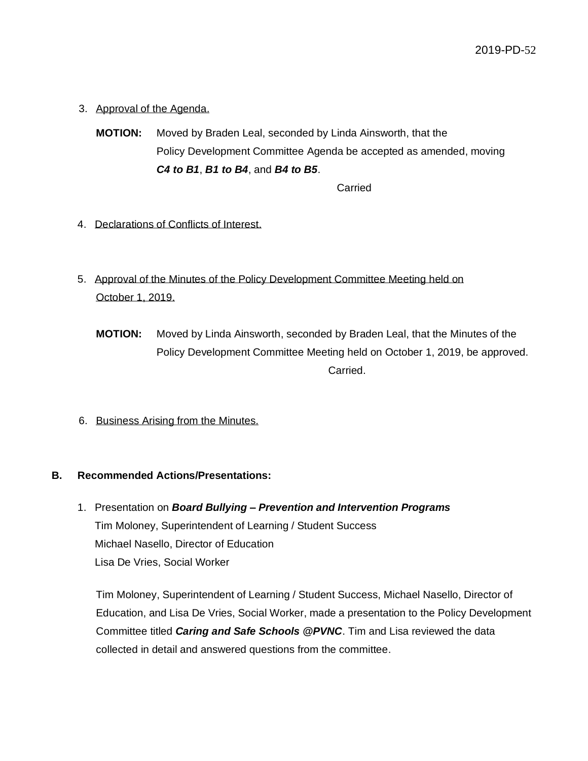- 3. Approval of the Agenda.
	- **MOTION:** Moved by Braden Leal, seconded by Linda Ainsworth, that the Policy Development Committee Agenda be accepted as amended, moving *C4 to B1*, *B1 to B4*, and *B4 to B5*.

Carried

- 4. Declarations of Conflicts of Interest.
- 5. Approval of the Minutes of the Policy Development Committee Meeting held on October 1, 2019.
	- **MOTION:** Moved by Linda Ainsworth, seconded by Braden Leal, that the Minutes of the Policy Development Committee Meeting held on October 1, 2019, be approved. Carried.
- 6. Business Arising from the Minutes.

## **B. Recommended Actions/Presentations:**

1. Presentation on *Board Bullying – Prevention and Intervention Programs* Tim Moloney, Superintendent of Learning / Student Success Michael Nasello, Director of Education Lisa De Vries, Social Worker

Tim Moloney, Superintendent of Learning / Student Success, Michael Nasello, Director of Education, and Lisa De Vries, Social Worker, made a presentation to the Policy Development Committee titled *Caring and Safe Schools @PVNC*. Tim and Lisa reviewed the data collected in detail and answered questions from the committee.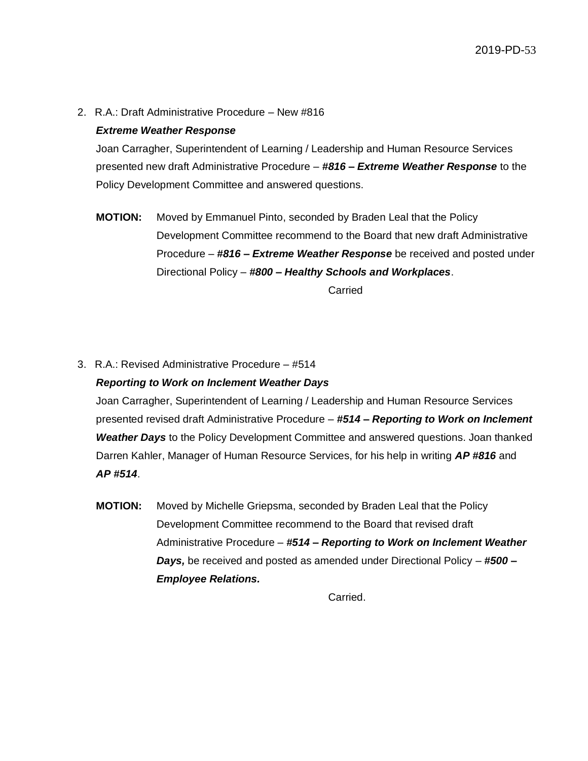2. R.A.: Draft Administrative Procedure – New #816

## *Extreme Weather Response*

Joan Carragher, Superintendent of Learning / Leadership and Human Resource Services presented new draft Administrative Procedure – *#816 – Extreme Weather Response* to the Policy Development Committee and answered questions.

**MOTION:** Moved by Emmanuel Pinto, seconded by Braden Leal that the Policy Development Committee recommend to the Board that new draft Administrative Procedure – *#816 – Extreme Weather Response* be received and posted under Directional Policy – *#800 – Healthy Schools and Workplaces*.

Carried

3. R.A.: Revised Administrative Procedure – #514 *Reporting to Work on Inclement Weather Days*

Joan Carragher, Superintendent of Learning / Leadership and Human Resource Services presented revised draft Administrative Procedure – *#514 – Reporting to Work on Inclement Weather Days* to the Policy Development Committee and answered questions. Joan thanked Darren Kahler, Manager of Human Resource Services, for his help in writing *AP #816* and *AP #514*.

**MOTION:** Moved by Michelle Griepsma, seconded by Braden Leal that the Policy Development Committee recommend to the Board that revised draft Administrative Procedure – *#514 – Reporting to Work on Inclement Weather Days,* be received and posted as amended under Directional Policy – *#500 – Employee Relations.*

Carried.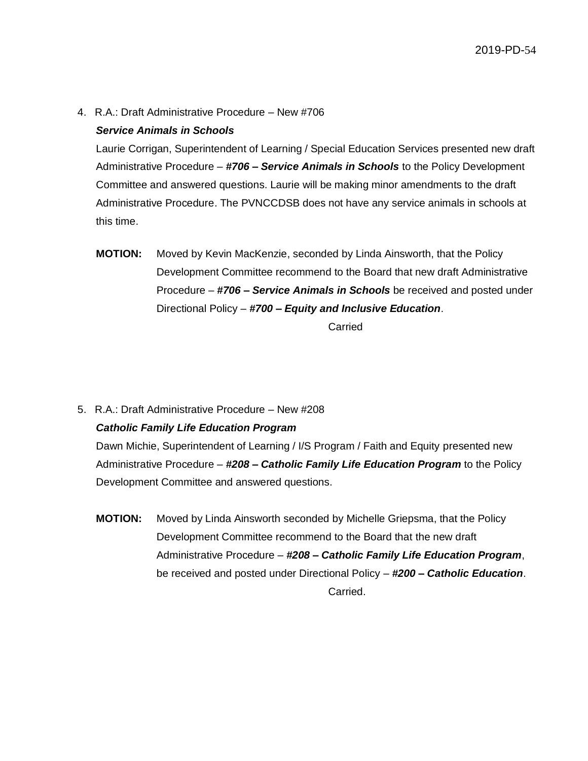4. R.A.: Draft Administrative Procedure – New #706

## *Service Animals in Schools*

Laurie Corrigan, Superintendent of Learning / Special Education Services presented new draft Administrative Procedure – *#706 – Service Animals in Schools* to the Policy Development Committee and answered questions. Laurie will be making minor amendments to the draft Administrative Procedure. The PVNCCDSB does not have any service animals in schools at this time.

**MOTION:** Moved by Kevin MacKenzie, seconded by Linda Ainsworth, that the Policy Development Committee recommend to the Board that new draft Administrative Procedure – *#706 – Service Animals in Schools* be received and posted under Directional Policy – *#700 – Equity and Inclusive Education*.

Carried

5. R.A.: Draft Administrative Procedure – New #208

### *Catholic Family Life Education Program*

Dawn Michie, Superintendent of Learning / I/S Program / Faith and Equity presented new Administrative Procedure – *#208 – Catholic Family Life Education Program* to the Policy Development Committee and answered questions.

**MOTION:** Moved by Linda Ainsworth seconded by Michelle Griepsma, that the Policy Development Committee recommend to the Board that the new draft Administrative Procedure – *#208 – Catholic Family Life Education Program*, be received and posted under Directional Policy – *#200 – Catholic Education*. Carried.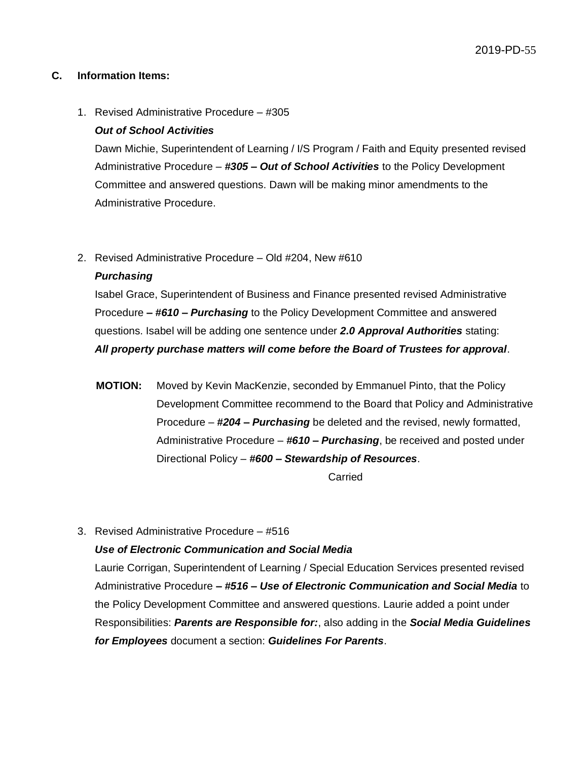#### **C. Information Items:**

#### 1. Revised Administrative Procedure – #305

#### *Out of School Activities*

Dawn Michie, Superintendent of Learning / I/S Program / Faith and Equity presented revised Administrative Procedure – *#305 – Out of School Activities* to the Policy Development Committee and answered questions. Dawn will be making minor amendments to the Administrative Procedure.

#### 2. Revised Administrative Procedure – Old #204, New #610

#### *Purchasing*

Isabel Grace, Superintendent of Business and Finance presented revised Administrative Procedure *– #610 – Purchasing* to the Policy Development Committee and answered questions. Isabel will be adding one sentence under *2.0 Approval Authorities* stating: *All property purchase matters will come before the Board of Trustees for approval*.

**MOTION:** Moved by Kevin MacKenzie, seconded by Emmanuel Pinto, that the Policy Development Committee recommend to the Board that Policy and Administrative Procedure – *#204 – Purchasing* be deleted and the revised, newly formatted, Administrative Procedure – *#610 – Purchasing*, be received and posted under Directional Policy – *#600 – Stewardship of Resources*.

Carried

### 3. Revised Administrative Procedure – #516

### *Use of Electronic Communication and Social Media*

Laurie Corrigan, Superintendent of Learning / Special Education Services presented revised Administrative Procedure *– #516 – Use of Electronic Communication and Social Media* to the Policy Development Committee and answered questions. Laurie added a point under Responsibilities: *Parents are Responsible for:*, also adding in the *Social Media Guidelines for Employees* document a section: *Guidelines For Parents*.